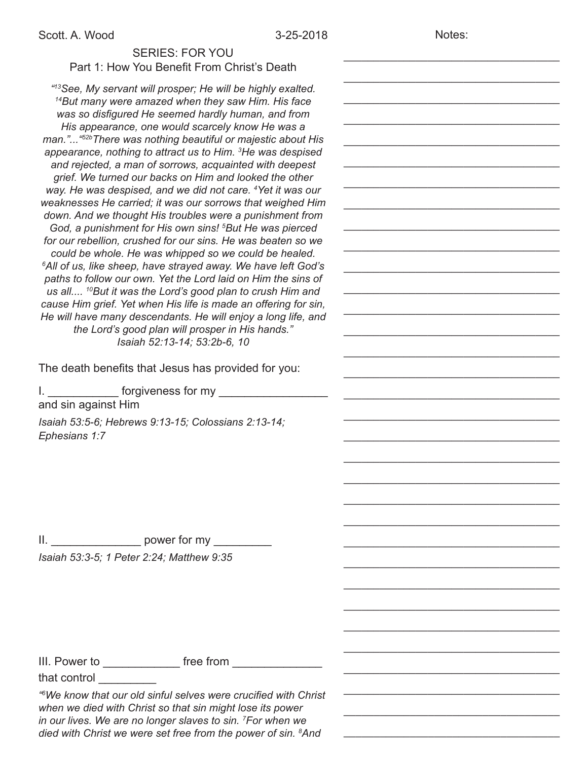Notes:

\_\_\_\_\_\_\_\_\_\_\_\_\_\_\_\_\_\_\_\_\_\_\_\_\_\_\_\_\_\_\_\_\_\_\_\_

\_\_\_\_\_\_\_\_\_\_\_\_\_\_\_\_\_\_\_\_\_\_\_\_\_\_\_\_\_\_\_\_\_\_\_\_

\_\_\_\_\_\_\_\_\_\_\_\_\_\_\_\_\_\_\_\_\_\_\_\_\_\_\_\_\_\_\_\_\_\_\_\_

\_\_\_\_\_\_\_\_\_\_\_\_\_\_\_\_\_\_\_\_\_\_\_\_\_\_\_\_\_\_\_\_\_\_\_\_

\_\_\_\_\_\_\_\_\_\_\_\_\_\_\_\_\_\_\_\_\_\_\_\_\_\_\_\_\_\_\_\_\_\_\_\_

\_\_\_\_\_\_\_\_\_\_\_\_\_\_\_\_\_\_\_\_\_\_\_\_\_\_\_\_\_\_\_\_\_\_\_\_

\_\_\_\_\_\_\_\_\_\_\_\_\_\_\_\_\_\_\_\_\_\_\_\_\_\_\_\_\_\_\_\_\_\_\_\_

\_\_\_\_\_\_\_\_\_\_\_\_\_\_\_\_\_\_\_\_\_\_\_\_\_\_\_\_\_\_\_\_\_\_\_\_

\_\_\_\_\_\_\_\_\_\_\_\_\_\_\_\_\_\_\_\_\_\_\_\_\_\_\_\_\_\_\_\_\_\_\_\_

\_\_\_\_\_\_\_\_\_\_\_\_\_\_\_\_\_\_\_\_\_\_\_\_\_\_\_\_\_\_\_\_\_\_\_\_

\_\_\_\_\_\_\_\_\_\_\_\_\_\_\_\_\_\_\_\_\_\_\_\_\_\_\_\_\_\_\_\_\_\_\_\_

\_\_\_\_\_\_\_\_\_\_\_\_\_\_\_\_\_\_\_\_\_\_\_\_\_\_\_\_\_\_\_\_\_\_\_\_

\_\_\_\_\_\_\_\_\_\_\_\_\_\_\_\_\_\_\_\_\_\_\_\_\_\_\_\_\_\_\_\_\_\_\_\_

\_\_\_\_\_\_\_\_\_\_\_\_\_\_\_\_\_\_\_\_\_\_\_\_\_\_\_\_\_\_\_\_\_\_\_\_

\_\_\_\_\_\_\_\_\_\_\_\_\_\_\_\_\_\_\_\_\_\_\_\_\_\_\_\_\_\_\_\_\_\_\_\_

\_\_\_\_\_\_\_\_\_\_\_\_\_\_\_\_\_\_\_\_\_\_\_\_\_\_\_\_\_\_\_\_\_\_\_\_

\_\_\_\_\_\_\_\_\_\_\_\_\_\_\_\_\_\_\_\_\_\_\_\_\_\_\_\_\_\_\_\_\_\_\_\_

\_\_\_\_\_\_\_\_\_\_\_\_\_\_\_\_\_\_\_\_\_\_\_\_\_\_\_\_\_\_\_\_\_\_\_\_

\_\_\_\_\_\_\_\_\_\_\_\_\_\_\_\_\_\_\_\_\_\_\_\_\_\_\_\_\_\_\_\_\_\_\_\_

\_\_\_\_\_\_\_\_\_\_\_\_\_\_\_\_\_\_\_\_\_\_\_\_\_\_\_\_\_\_\_\_\_\_\_\_

\_\_\_\_\_\_\_\_\_\_\_\_\_\_\_\_\_\_\_\_\_\_\_\_\_\_\_\_\_\_\_\_\_\_\_\_

\_\_\_\_\_\_\_\_\_\_\_\_\_\_\_\_\_\_\_\_\_\_\_\_\_\_\_\_\_\_\_\_\_\_\_\_

\_\_\_\_\_\_\_\_\_\_\_\_\_\_\_\_\_\_\_\_\_\_\_\_\_\_\_\_\_\_\_\_\_\_\_\_

\_\_\_\_\_\_\_\_\_\_\_\_\_\_\_\_\_\_\_\_\_\_\_\_\_\_\_\_\_\_\_\_\_\_\_\_

\_\_\_\_\_\_\_\_\_\_\_\_\_\_\_\_\_\_\_\_\_\_\_\_\_\_\_\_\_\_\_\_\_\_\_\_

\_\_\_\_\_\_\_\_\_\_\_\_\_\_\_\_\_\_\_\_\_\_\_\_\_\_\_\_\_\_\_\_\_\_\_\_

\_\_\_\_\_\_\_\_\_\_\_\_\_\_\_\_\_\_\_\_\_\_\_\_\_\_\_\_\_\_\_\_\_\_\_\_

\_\_\_\_\_\_\_\_\_\_\_\_\_\_\_\_\_\_\_\_\_\_\_\_\_\_\_\_\_\_\_\_\_\_\_\_

\_\_\_\_\_\_\_\_\_\_\_\_\_\_\_\_\_\_\_\_\_\_\_\_\_\_\_\_\_\_\_\_\_\_\_\_

\_\_\_\_\_\_\_\_\_\_\_\_\_\_\_\_\_\_\_\_\_\_\_\_\_\_\_\_\_\_\_\_\_\_\_\_

\_\_\_\_\_\_\_\_\_\_\_\_\_\_\_\_\_\_\_\_\_\_\_\_\_\_\_\_\_\_\_\_\_\_\_\_

\_\_\_\_\_\_\_\_\_\_\_\_\_\_\_\_\_\_\_\_\_\_\_\_\_\_\_\_\_\_\_\_\_\_\_\_

\_\_\_\_\_\_\_\_\_\_\_\_\_\_\_\_\_\_\_\_\_\_\_\_\_\_\_\_\_\_\_\_\_\_\_\_

## SERIES: FOR YOU

Part 1: How You Benefit From Christ's Death *"13See, My servant will prosper; He will be highly exalted. 14But many were amazed when they saw Him. His face was so disfigured He seemed hardly human, and from His appearance, one would scarcely know He was a man."..."52bThere was nothing beautiful or majestic about His appearance, nothing to attract us to Him. 3 He was despised and rejected, a man of sorrows, acquainted with deepest grief. We turned our backs on Him and looked the other way. He was despised, and we did not care. 4 Yet it was our weaknesses He carried; it was our sorrows that weighed Him down. And we thought His troubles were a punishment from God, a punishment for His own sins! 5 But He was pierced for our rebellion, crushed for our sins. He was beaten so we could be whole. He was whipped so we could be healed. 6 All of us, like sheep, have strayed away. We have left God's paths to follow our own. Yet the Lord laid on Him the sins of us all.... 10But it was the Lord's good plan to crush Him and cause Him grief. Yet when His life is made an offering for sin, He will have many descendants. He will enjoy a long life, and the Lord's good plan will prosper in His hands." Isaiah 52:13-14; 53:2b-6, 10*

The death benefits that Jesus has provided for you:

I. The forgiveness for my and the state of the state of the state of the state of the state of the state of the state of the state of the state of the state of the state of the state of the state of the state of the state and sin against Him *Isaiah 53:5-6; Hebrews 9:13-15; Colossians 2:13-14; Ephesians 1:7*

II. The power for my  $\sim$ *Isaiah 53:3-5; 1 Peter 2:24; Matthew 9:35* 

III. Power to \_\_\_\_\_\_\_\_\_\_\_\_ free from \_\_\_\_\_\_\_\_\_\_\_\_\_\_

that control

*"6 We know that our old sinful selves were crucified with Christ when we died with Christ so that sin might lose its power in our lives. We are no longer slaves to sin. 7 For when we died with Christ we were set free from the power of sin. 8 And*